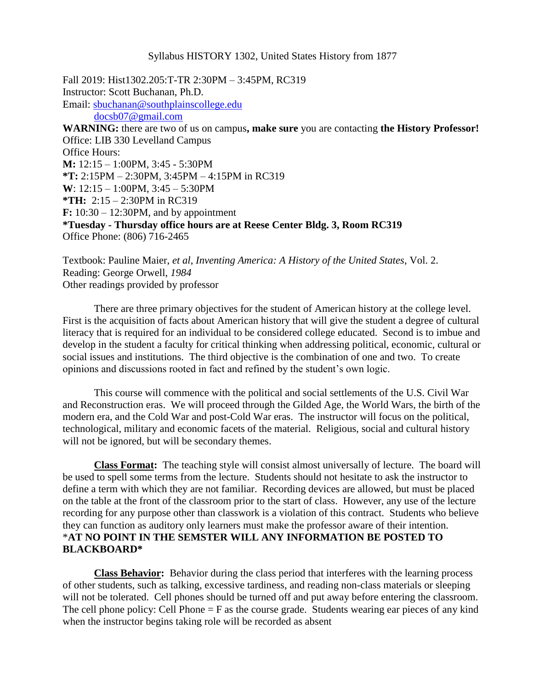#### Syllabus HISTORY 1302, United States History from 1877

Fall 2019: Hist1302.205:T-TR 2:30PM – 3:45PM, RC319 Instructor: Scott Buchanan, Ph.D. Email: [sbuchanan@southplainscollege.edu](mailto:sbuchanan@southplainscollege.edu) [docsb07@gmail.com](mailto:docsb07@gmail.com) **WARNING:** there are two of us on campus**, make sure** you are contacting **the History Professor!** Office: LIB 330 Levelland Campus Office Hours: **M:** 12:15 – 1:00PM, 3:45 - 5:30PM **\*T:** 2:15PM – 2:30PM, 3:45PM – 4:15PM in RC319 **W**: 12:15 – 1:00PM, 3:45 – 5:30PM **\*TH:** 2:15 – 2:30PM in RC319 **F:** 10:30 – 12:30PM, and by appointment **\*Tuesday - Thursday office hours are at Reese Center Bldg. 3, Room RC319** Office Phone: (806) 716-2465

Textbook: Pauline Maier, *et al*, *Inventing America: A History of the United States*, Vol. 2. Reading: George Orwell, *1984* Other readings provided by professor

There are three primary objectives for the student of American history at the college level. First is the acquisition of facts about American history that will give the student a degree of cultural literacy that is required for an individual to be considered college educated. Second is to imbue and develop in the student a faculty for critical thinking when addressing political, economic, cultural or social issues and institutions. The third objective is the combination of one and two. To create opinions and discussions rooted in fact and refined by the student's own logic.

This course will commence with the political and social settlements of the U.S. Civil War and Reconstruction eras. We will proceed through the Gilded Age, the World Wars, the birth of the modern era, and the Cold War and post-Cold War eras. The instructor will focus on the political, technological, military and economic facets of the material. Religious, social and cultural history will not be ignored, but will be secondary themes.

**Class Format:** The teaching style will consist almost universally of lecture. The board will be used to spell some terms from the lecture. Students should not hesitate to ask the instructor to define a term with which they are not familiar. Recording devices are allowed, but must be placed on the table at the front of the classroom prior to the start of class. However, any use of the lecture recording for any purpose other than classwork is a violation of this contract. Students who believe they can function as auditory only learners must make the professor aware of their intention. \***AT NO POINT IN THE SEMSTER WILL ANY INFORMATION BE POSTED TO BLACKBOARD\***

**Class Behavior:** Behavior during the class period that interferes with the learning process of other students, such as talking, excessive tardiness, and reading non-class materials or sleeping will not be tolerated. Cell phones should be turned off and put away before entering the classroom. The cell phone policy: Cell Phone  $=$  F as the course grade. Students wearing ear pieces of any kind when the instructor begins taking role will be recorded as absent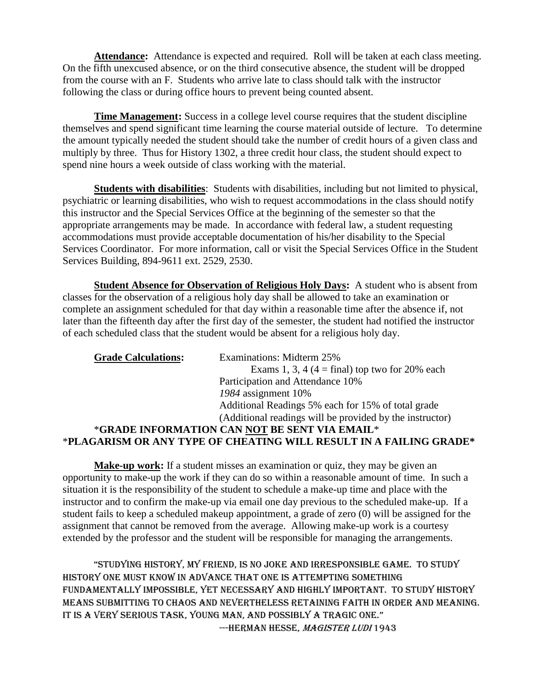**Attendance:** Attendance is expected and required. Roll will be taken at each class meeting. On the fifth unexcused absence, or on the third consecutive absence, the student will be dropped from the course with an F. Students who arrive late to class should talk with the instructor following the class or during office hours to prevent being counted absent.

**Time Management:** Success in a college level course requires that the student discipline themselves and spend significant time learning the course material outside of lecture. To determine the amount typically needed the student should take the number of credit hours of a given class and multiply by three. Thus for History 1302, a three credit hour class, the student should expect to spend nine hours a week outside of class working with the material.

**Students with disabilities**: Students with disabilities, including but not limited to physical, psychiatric or learning disabilities, who wish to request accommodations in the class should notify this instructor and the Special Services Office at the beginning of the semester so that the appropriate arrangements may be made. In accordance with federal law, a student requesting accommodations must provide acceptable documentation of his/her disability to the Special Services Coordinator. For more information, call or visit the Special Services Office in the Student Services Building, 894-9611 ext. 2529, 2530.

**Student Absence for Observation of Religious Holy Days:** A student who is absent from classes for the observation of a religious holy day shall be allowed to take an examination or complete an assignment scheduled for that day within a reasonable time after the absence if, not later than the fifteenth day after the first day of the semester, the student had notified the instructor of each scheduled class that the student would be absent for a religious holy day.

| <b>Grade Calculations:</b> | <b>Examinations: Midterm 25%</b>                                   |
|----------------------------|--------------------------------------------------------------------|
|                            | Exams 1, 3, 4 (4 = final) top two for 20% each                     |
|                            | Participation and Attendance 10%                                   |
|                            | 1984 assignment 10%                                                |
|                            | Additional Readings 5% each for 15% of total grade                 |
|                            | (Additional readings will be provided by the instructor)           |
|                            | *GRADE INFORMATION CAN NOT BE SENT VIA EMAIL*                      |
|                            | *PLAGARISM OR ANY TYPE OF CHEATING WILL RESULT IN A FAILING GRADE* |
|                            |                                                                    |

**Make-up work:** If a student misses an examination or quiz, they may be given an opportunity to make-up the work if they can do so within a reasonable amount of time.In such a situation it is the responsibility of the student to schedule a make-up time and place with the instructor and to confirm the make-up via email one day previous to the scheduled make-up. If a student fails to keep a scheduled makeup appointment, a grade of zero (0) will be assigned for the assignment that cannot be removed from the average. Allowing make-up work is a courtesy extended by the professor and the student will be responsible for managing the arrangements.

"Studying hiStory, my friend, iS no joke and irreSponSible game. to study history one must know in advance that one is attempting something fundamentally impossible, yet necessary and highly important. To study history means submitting to chaos and nevertheless retaining faith in order and meaning. IT IS A VERY SERIOUS TASK, YOUNG MAN, AND POSSIBLY A TRAGIC ONE." ---HERMAN HESSE, MAGISTER LUDI 1943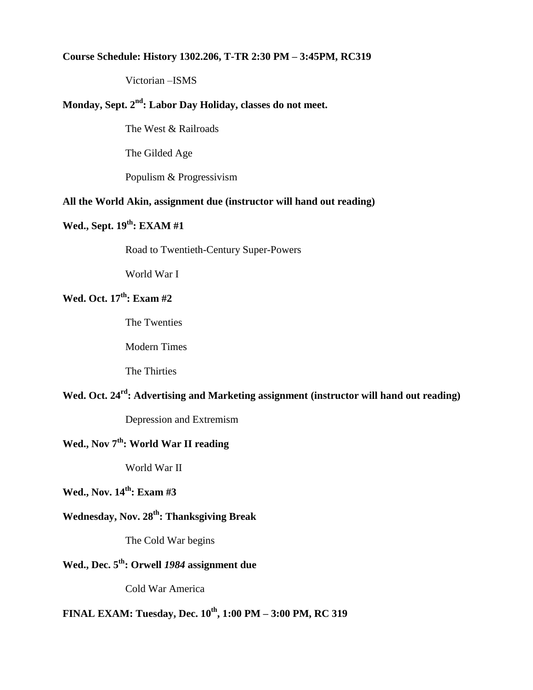#### **Course Schedule: History 1302.206, T-TR 2:30 PM – 3:45PM, RC319**

Victorian –ISMS

# **Monday, Sept. 2 nd: Labor Day Holiday, classes do not meet.**

The West & Railroads

The Gilded Age

Populism & Progressivism

#### **All the World Akin, assignment due (instructor will hand out reading)**

## **Wed., Sept. 19 th: EXAM #1**

Road to Twentieth-Century Super-Powers

World War I

## **Wed. Oct. 17 th: Exam #2**

The Twenties

Modern Times

The Thirties

## **Wed. Oct. 24 rd: Advertising and Marketing assignment (instructor will hand out reading)**

Depression and Extremism

# **Wed., Nov 7 th: World War II reading**

World War II

# **Wed., Nov. 14 th: Exam #3**

# **Wednesday, Nov. 28 th: Thanksgiving Break**

The Cold War begins

## **Wed., Dec. 5 th: Orwell** *1984* **assignment due**

Cold War America

## **FINAL EXAM: Tuesday, Dec. 10 th, 1:00 PM – 3:00 PM, RC 319**